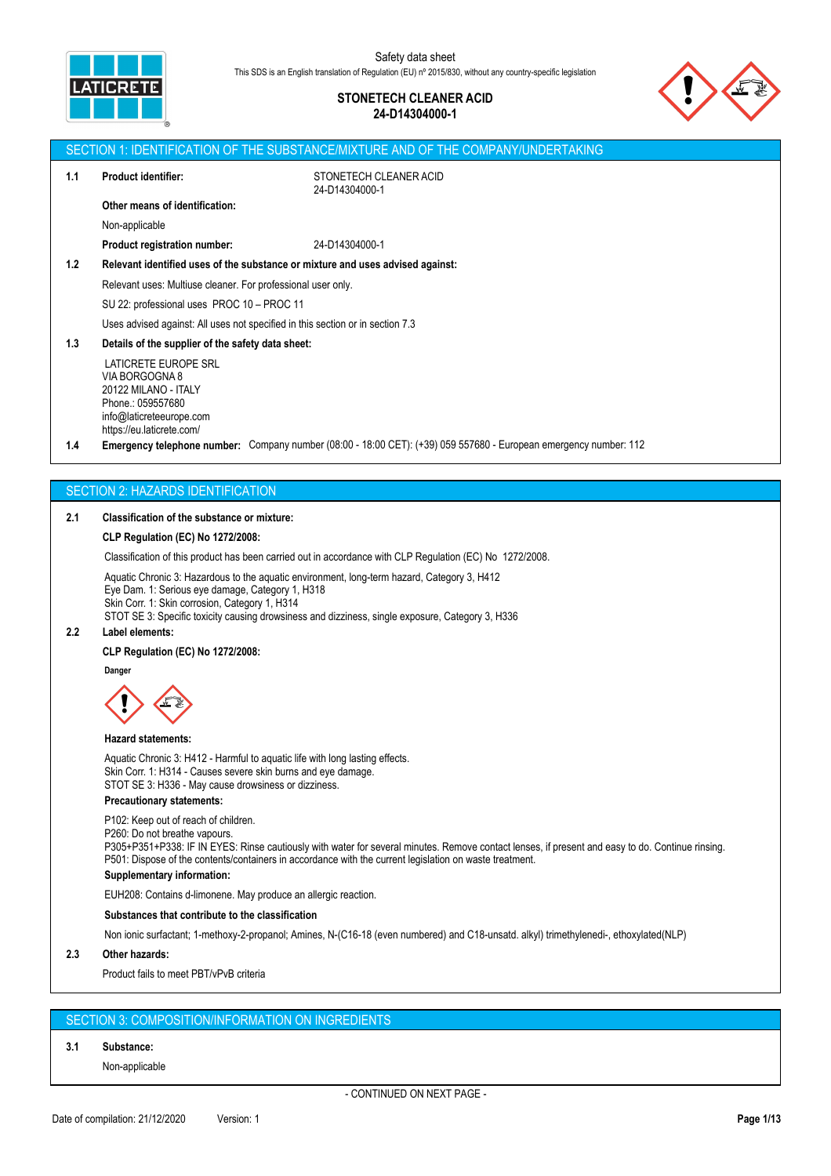

# **STONETECH CLEANER ACID 24-D14304000-1**



|     |                                                                                | SECTION 1: IDENTIFICATION OF THE SUBSTANCE/MIXTURE AND OF THE COMPANY/UNDERTAKING                                          |
|-----|--------------------------------------------------------------------------------|----------------------------------------------------------------------------------------------------------------------------|
| 1.1 | <b>Product identifier:</b>                                                     | STONETECH CLEANER ACID<br>24-D14304000-1                                                                                   |
|     | Other means of identification:                                                 |                                                                                                                            |
|     | Non-applicable                                                                 |                                                                                                                            |
|     | <b>Product registration number:</b>                                            | 24-D14304000-1                                                                                                             |
| 1.2 | Relevant identified uses of the substance or mixture and uses advised against: |                                                                                                                            |
|     | Relevant uses: Multiuse cleaner. For professional user only.                   |                                                                                                                            |
|     | SU 22: professional uses PROC 10 - PROC 11                                     |                                                                                                                            |
|     | Uses advised against: All uses not specified in this section or in section 7.3 |                                                                                                                            |
| 1.3 | Details of the supplier of the safety data sheet:                              |                                                                                                                            |
|     | <b>LATICRETE EUROPE SRL</b>                                                    |                                                                                                                            |
|     | VIA BORGOGNA 8<br>20122 MILANO - ITALY                                         |                                                                                                                            |
|     | Phone.: 059557680                                                              |                                                                                                                            |
|     | info@laticreteeurope.com<br>https://eu.laticrete.com/                          |                                                                                                                            |
| 1.4 |                                                                                | <b>Emergency telephone number:</b> Company number (08:00 - 18:00 CET): $(+39)$ 059 557680 - European emergency number: 112 |
|     |                                                                                |                                                                                                                            |
|     |                                                                                |                                                                                                                            |

# **FCTION 2: HAZARDS IDENTIFICATIO**

# **2.1 Classification of the substance or mixture:**

## **CLP Regulation (EC) No 1272/2008:**

Classification of this product has been carried out in accordance with CLP Regulation (EC) No 1272/2008.

Aquatic Chronic 3: Hazardous to the aquatic environment, long-term hazard, Category 3, H412 Eye Dam. 1: Serious eye damage, Category 1, H318 Skin Corr. 1: Skin corrosion, Category 1, H314 STOT SE 3: Specific toxicity causing drowsiness and dizziness, single exposure, Category 3, H336

#### **2.2 Label elements:**

#### **CLP Regulation (EC) No 1272/2008:**

Dange



## **Hazard statements:**

Aquatic Chronic 3: H412 - Harmful to aquatic life with long lasting effects. Skin Corr. 1: H314 - Causes severe skin burns and eye damage. STOT SE 3: H336 - May cause drowsiness or dizziness.

# **Precautionary statements:**

P102: Keep out of reach of children. P260: Do not breathe vapours. P305+P351+P338: IF IN EYES: Rinse cautiously with water for several minutes. Remove contact lenses, if present and easy to do. Continue rinsing. P501: Dispose of the contents/containers in accordance with the current legislation on waste treatment. **Supplementary information:** EUH208: Contains d-limonene. May produce an allergic reaction. **Substances that contribute to the classification**

Non ionic surfactant; 1-methoxy-2-propanol; Amines, N-(C16-18 (even numbered) and C18-unsatd. alkyl) trimethylenedi-, ethoxylated(NLP)

# **2.3 Other hazards:**

Product fails to meet PBT/vPvB criteria

# SECTION 3: COMPOSITION/INFORMATION ON INGREDIENTS

# **3.1 Substance:**

Non-applicable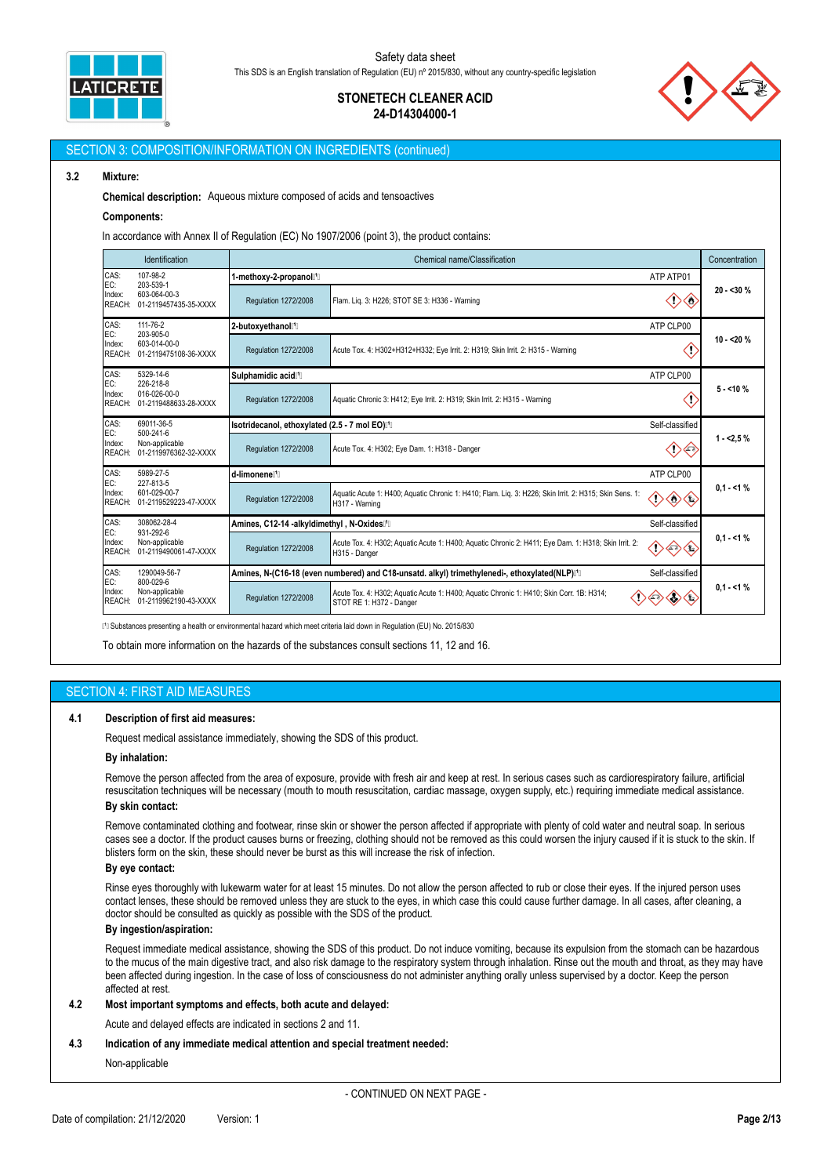

# **STONETECH CLEANER ACID 24-D14304000-1**



#### SECTION 3: COMPOSITION/INFORMATION ON INGREDIENTS (continued)

### **3.2 Mixture:**

**Chemical description:** Aqueous mixture composed of acids and tensoactives

#### **Components:**

In accordance with Annex II of Regulation (EC) No 1907/2006 (point 3), the product contains:

|                                                                                                       | <b>Identification</b>                   |                                                      | Chemical name/Classification                                                                                             |                 | Concentration |  |
|-------------------------------------------------------------------------------------------------------|-----------------------------------------|------------------------------------------------------|--------------------------------------------------------------------------------------------------------------------------|-----------------|---------------|--|
| CAS:<br>EC:                                                                                           | 107-98-2<br>203-539-1                   | 1-methoxy-2-propanol <sup>1</sup>                    |                                                                                                                          | ATP ATP01       |               |  |
| Index:<br>REACH:                                                                                      | 603-064-00-3<br>01-2119457435-35-XXXX   | Regulation 1272/2008                                 | Flam. Lig. 3: H226; STOT SE 3: H336 - Warning                                                                            | <€              | $20 - 30%$    |  |
| CAS:<br>EC:                                                                                           | 111-76-2<br>203-905-0                   | 2-butoxyethanol <sup>1</sup>                         |                                                                                                                          | ATP CLP00       |               |  |
| Index:<br>REACH:                                                                                      | 603-014-00-0<br>01-2119475108-36-XXXX   | <b>Regulation 1272/2008</b>                          | Acute Tox. 4: H302+H312+H332; Eye Irrit. 2: H319; Skin Irrit. 2: H315 - Warning                                          |                 | $10 - 20%$    |  |
| CAS:<br>EC:                                                                                           | 5329-14-6<br>226-218-8                  | Sulphamidic acid <sup>[1]</sup>                      | ATP CLP00                                                                                                                |                 |               |  |
| Index:<br>REACH:                                                                                      | 016-026-00-0<br>01-2119488633-28-XXXX   | Regulation 1272/2008                                 | Aquatic Chronic 3: H412; Eye Irrit. 2: H319; Skin Irrit. 2: H315 - Warning                                               | æ               | $5 - 10%$     |  |
| CAS:<br>69011-36-5<br>EC:<br>500-241-6<br>Index:<br>Non-applicable<br>01-2119976362-32-XXXX<br>REACH: |                                         | Isotridecanol, ethoxylated (2.5 - 7 mol EO)[1]       |                                                                                                                          | Self-classified |               |  |
|                                                                                                       |                                         | Regulation 1272/2008                                 | Acute Tox. 4: H302; Eye Dam. 1: H318 - Danger                                                                            |                 | $1 - 2.5%$    |  |
| CAS:<br>EC:                                                                                           | 5989-27-5<br>227-813-5                  | d-limonene <sup>[1]</sup>                            |                                                                                                                          | ATP CLP00       |               |  |
| Index:<br>REACH:                                                                                      | 601-029-00-7<br>01-2119529223-47-XXXX   | Regulation 1272/2008                                 | Aquatic Acute 1: H400; Aquatic Chronic 1: H410; Flam. Lig. 3: H226; Skin Irrit. 2: H315; Skin Sens. 1:<br>H317 - Warning | Œ<br>◇◇         | $0.1 - 1%$    |  |
| CAS:                                                                                                  | 308062-28-4                             | Amines, C12-14 -alkyldimethyl, N-Oxides <sup>n</sup> |                                                                                                                          | Self-classified |               |  |
| EC:<br>931-292-6<br>Index:<br>Non-applicable<br>REACH:<br>01-2119490061-47-XXXX                       |                                         | Regulation 1272/2008                                 | Acute Tox. 4: H302; Aquatic Acute 1: H400; Aquatic Chronic 2: H411; Eye Dam. 1: H318; Skin Irrit. 2:<br>H315 - Danger    | 〈②              | $0.1 - 1%$    |  |
| CAS:<br>EC:                                                                                           | 1290049-56-7<br>800-029-6               |                                                      | Amines, N-(C16-18 (even numbered) and C18-unsatd. alkyl) trimethylenedi-, ethoxylated(NLP)I <sup>n</sup> II              | Self-classified |               |  |
| Index:<br>REACH:                                                                                      | Non-applicable<br>01-2119962190-43-XXXX | Regulation 1272/2008                                 | Acute Tox. 4: H302; Aquatic Acute 1: H400; Aquatic Chronic 1: H410; Skin Corr. 1B: H314;<br>STOT RE 1: H372 - Danger     |                 | $0.1 - 1%$    |  |

⁽¹⁽ Substances presenting a health or environmental hazard which meet criteria laid down in Regulation (EU) No. 2015/830

To obtain more information on the hazards of the substances consult sections 11, 12 and 16.

## SECTION 4: FIRST AID MEASURES

### **4.1 Description of first aid measures:**

Request medical assistance immediately, showing the SDS of this product.

### **By inhalation:**

Remove the person affected from the area of exposure, provide with fresh air and keep at rest. In serious cases such as cardiorespiratory failure, artificial resuscitation techniques will be necessary (mouth to mouth resuscitation, cardiac massage, oxygen supply, etc.) requiring immediate medical assistance. **By skin contact:**

Remove contaminated clothing and footwear, rinse skin or shower the person affected if appropriate with plenty of cold water and neutral soap. In serious cases see a doctor. If the product causes burns or freezing, clothing should not be removed as this could worsen the injury caused if it is stuck to the skin. If blisters form on the skin, these should never be burst as this will increase the risk of infection.

#### **By eye contact:**

Rinse eyes thoroughly with lukewarm water for at least 15 minutes. Do not allow the person affected to rub or close their eyes. If the injured person uses contact lenses, these should be removed unless they are stuck to the eyes, in which case this could cause further damage. In all cases, after cleaning, a doctor should be consulted as quickly as possible with the SDS of the product.

#### **By ingestion/aspiration:**

Request immediate medical assistance, showing the SDS of this product. Do not induce vomiting, because its expulsion from the stomach can be hazardous to the mucus of the main digestive tract, and also risk damage to the respiratory system through inhalation. Rinse out the mouth and throat, as they may have been affected during ingestion. In the case of loss of consciousness do not administer anything orally unless supervised by a doctor. Keep the person affected at rest.

### **4.2 Most important symptoms and effects, both acute and delayed:**

Acute and delayed effects are indicated in sections 2 and 11.

## **4.3 Indication of any immediate medical attention and special treatment needed:**

Non-applicable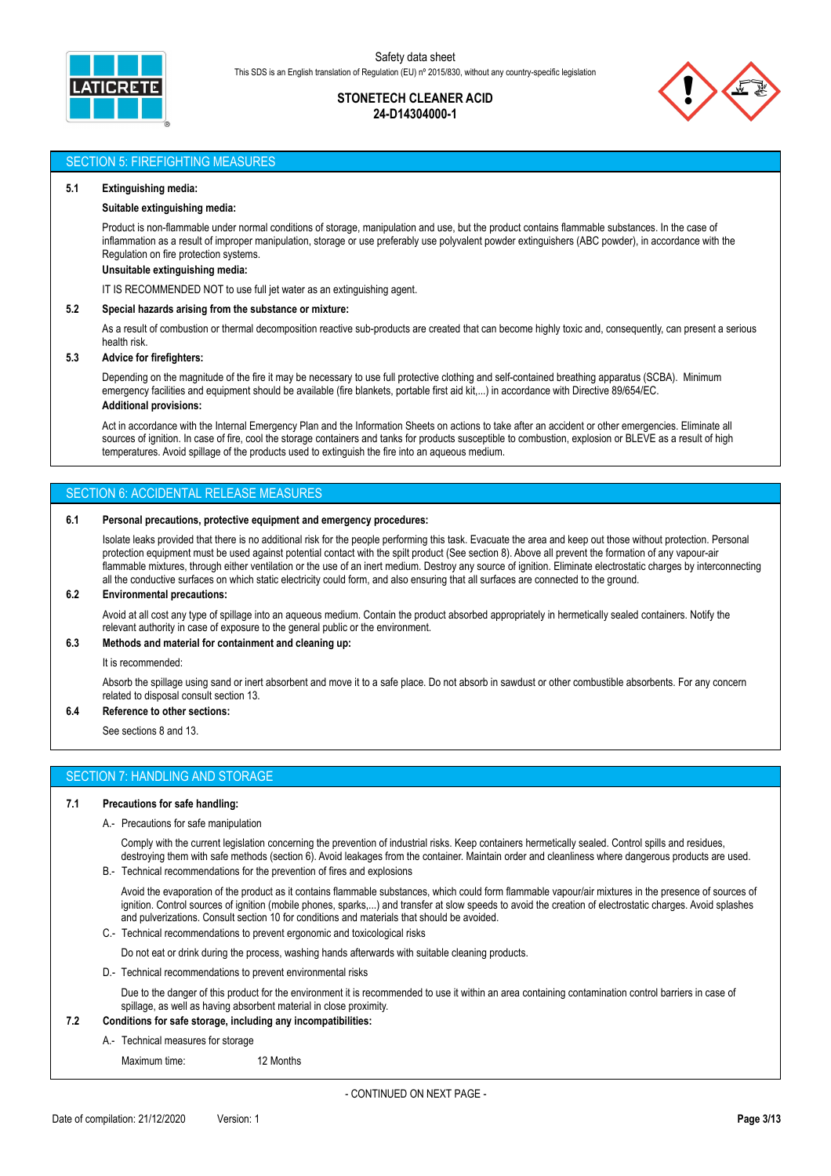

# **STONETECH CLEANER ACID 24-D14304000-1**



# SECTION 5: FIREFIGHTING MEASURES

#### **5.1 Extinguishing media:**

#### **Suitable extinguishing media:**

Product is non-flammable under normal conditions of storage, manipulation and use, but the product contains flammable substances. In the case of inflammation as a result of improper manipulation, storage or use preferably use polyvalent powder extinguishers (ABC powder), in accordance with the Regulation on fire protection systems.

**Unsuitable extinguishing media:**

IT IS RECOMMENDED NOT to use full jet water as an extinguishing agent.

#### **5.2 Special hazards arising from the substance or mixture:**

As a result of combustion or thermal decomposition reactive sub-products are created that can become highly toxic and, consequently, can present a serious health risk.

## **5.3 Advice for firefighters:**

Depending on the magnitude of the fire it may be necessary to use full protective clothing and self-contained breathing apparatus (SCBA). Minimum emergency facilities and equipment should be available (fire blankets, portable first aid kit,...) in accordance with Directive 89/654/EC. **Additional provisions:**

Act in accordance with the Internal Emergency Plan and the Information Sheets on actions to take after an accident or other emergencies. Eliminate all sources of ignition. In case of fire, cool the storage containers and tanks for products susceptible to combustion, explosion or BLEVE as a result of high temperatures. Avoid spillage of the products used to extinguish the fire into an aqueous medium.

### SECTION 6: ACCIDENTAL RELEASE MEASURES

#### **6.1 Personal precautions, protective equipment and emergency procedures:**

Isolate leaks provided that there is no additional risk for the people performing this task. Evacuate the area and keep out those without protection. Personal protection equipment must be used against potential contact with the spilt product (See section 8). Above all prevent the formation of any vapour-air flammable mixtures, through either ventilation or the use of an inert medium. Destroy any source of ignition. Eliminate electrostatic charges by interconnecting all the conductive surfaces on which static electricity could form, and also ensuring that all surfaces are connected to the ground.

#### **6.2 Environmental precautions:**

Avoid at all cost any type of spillage into an aqueous medium. Contain the product absorbed appropriately in hermetically sealed containers. Notify the relevant authority in case of exposure to the general public or the environment.

#### **6.3 Methods and material for containment and cleaning up:**

It is recommended:

Absorb the spillage using sand or inert absorbent and move it to a safe place. Do not absorb in sawdust or other combustible absorbents. For any concern related to disposal consult section 13.

# **6.4 Reference to other sections:**

See sections 8 and 13.

# SECTION 7: HANDLING AND STORAGE

#### **7.1 Precautions for safe handling:**

#### A.- Precautions for safe manipulation

Comply with the current legislation concerning the prevention of industrial risks. Keep containers hermetically sealed. Control spills and residues, destroying them with safe methods (section 6). Avoid leakages from the container. Maintain order and cleanliness where dangerous products are used.

B.- Technical recommendations for the prevention of fires and explosions

Avoid the evaporation of the product as it contains flammable substances, which could form flammable vapour/air mixtures in the presence of sources of ignition. Control sources of ignition (mobile phones, sparks,...) and transfer at slow speeds to avoid the creation of electrostatic charges. Avoid splashes and pulverizations. Consult section 10 for conditions and materials that should be avoided.

- C.- Technical recommendations to prevent ergonomic and toxicological risks
- Do not eat or drink during the process, washing hands afterwards with suitable cleaning products.

D.- Technical recommendations to prevent environmental risks

Due to the danger of this product for the environment it is recommended to use it within an area containing contamination control barriers in case of spillage, as well as having absorbent material in close proximity.

## **7.2 Conditions for safe storage, including any incompatibilities:**

A.- Technical measures for storage

Maximum time: 12 Months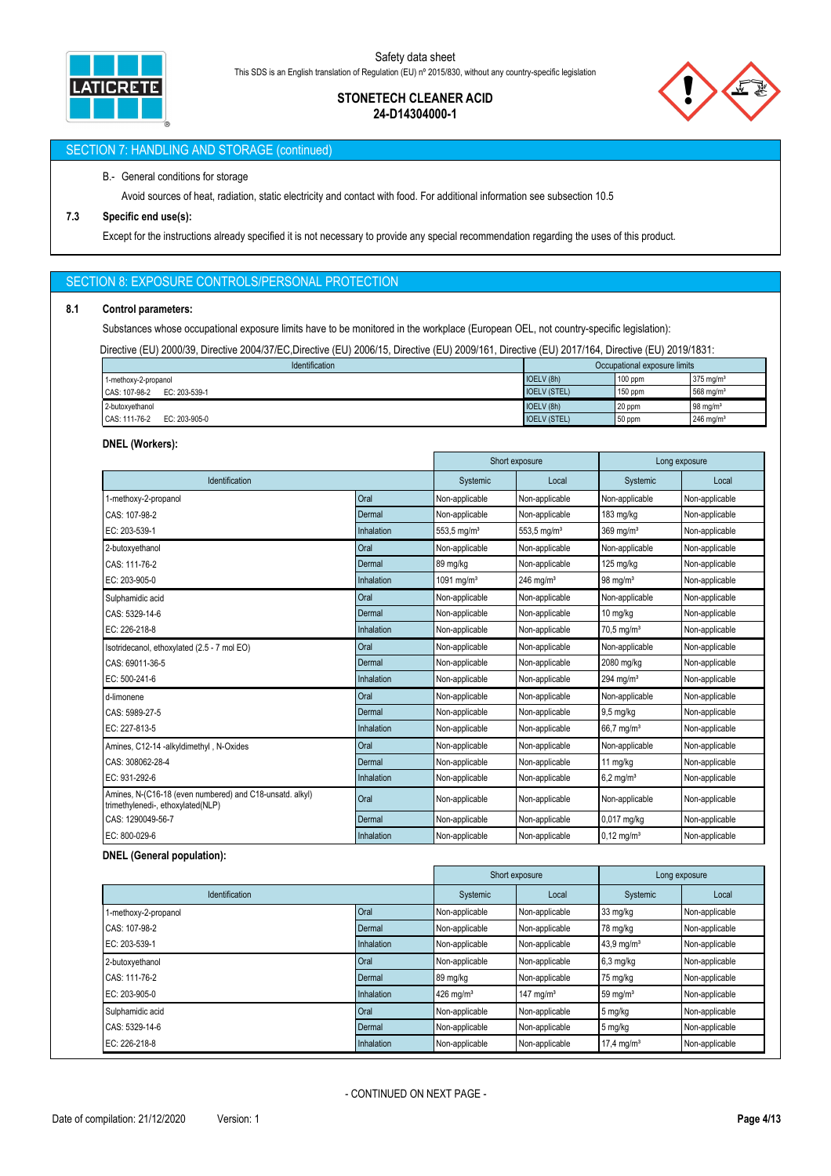

# **STONETECH CLEANER ACID 24-D14304000-1**



# SECTION 7: HANDLING AND STORAGE (continued)

## B.- General conditions for storage

Avoid sources of heat, radiation, static electricity and contact with food. For additional information see subsection 10.5

## **7.3 Specific end use(s):**

Except for the instructions already specified it is not necessary to provide any special recommendation regarding the uses of this product.

# SECTION 8: EXPOSURE CONTROLS/PERSONAL PROTECTION

#### **8.1 Control parameters:**

Substances whose occupational exposure limits have to be monitored in the workplace (European OEL, not country-specific legislation):

Directive (EU) 2000/39, Directive 2004/37/EC,Directive (EU) 2006/15, Directive (EU) 2009/161, Directive (EU) 2017/164, Directive (EU) 2019/1831:

| Identification                 | Occupational exposure limits |           |                         |
|--------------------------------|------------------------------|-----------|-------------------------|
| 1-methoxy-2-propanol           | IOELV (8h)                   | $100$ ppm | $375$ ma/m <sup>3</sup> |
| CAS: 107-98-2<br>EC: 203-539-1 | <b>IOELV (STEL)</b>          | $150$ ppm | 568 mg/m <sup>3</sup>   |
| 2-butoxvethanol                | IOELV (8h)                   | 20 ppm    | $98 \text{ ma/m}^3$     |
| CAS: 111-76-2<br>EC: 203-905-0 | <b>IOELV (STEL)</b>          | 50 ppm    | $246$ ma/m <sup>3</sup> |

## **DNEL (Workers):**

|                                                                                               |            |                           | Short exposure<br>Long exposure |                          |                |
|-----------------------------------------------------------------------------------------------|------------|---------------------------|---------------------------------|--------------------------|----------------|
| Identification                                                                                |            | Systemic                  | Local                           | Systemic                 | Local          |
| 1-methoxy-2-propanol                                                                          | Oral       | Non-applicable            | Non-applicable                  | Non-applicable           | Non-applicable |
| CAS: 107-98-2                                                                                 | Dermal     | Non-applicable            | Non-applicable                  | 183 mg/kg                | Non-applicable |
| EC: 203-539-1                                                                                 | Inhalation | $553.5$ mg/m <sup>3</sup> | $553.5$ mg/m <sup>3</sup>       | $369$ mg/m <sup>3</sup>  | Non-applicable |
| 2-butoxyethanol                                                                               | Oral       | Non-applicable            | Non-applicable                  | Non-applicable           | Non-applicable |
| CAS: 111-76-2                                                                                 | Dermal     | 89 mg/kg                  | Non-applicable                  | 125 mg/kg                | Non-applicable |
| EC: 203-905-0                                                                                 | Inhalation | 1091 mg/m $3$             | $246$ ma/m <sup>3</sup>         | $98 \text{ mg/m}^3$      | Non-applicable |
| Sulphamidic acid                                                                              | Oral       | Non-applicable            | Non-applicable                  | Non-applicable           | Non-applicable |
| CAS: 5329-14-6                                                                                | Dermal     | Non-applicable            | Non-applicable                  | 10 mg/kg                 | Non-applicable |
| EC: 226-218-8                                                                                 | Inhalation | Non-applicable            | Non-applicable                  | $70,5 \,\mathrm{mg/m^3}$ | Non-applicable |
| Isotridecanol, ethoxylated (2.5 - 7 mol EO)                                                   | Oral       | Non-applicable            | Non-applicable                  | Non-applicable           | Non-applicable |
| CAS: 69011-36-5                                                                               | Dermal     | Non-applicable            | Non-applicable                  | 2080 mg/kg               | Non-applicable |
| EC: 500-241-6                                                                                 | Inhalation | Non-applicable            | Non-applicable                  | 294 mg/m $3$             | Non-applicable |
| d-limonene                                                                                    | Oral       | Non-applicable            | Non-applicable                  | Non-applicable           | Non-applicable |
| CAS: 5989-27-5                                                                                | Dermal     | Non-applicable            | Non-applicable                  | $9,5$ mg/kg              | Non-applicable |
| EC: 227-813-5                                                                                 | Inhalation | Non-applicable            | Non-applicable                  | 66,7 mg/m <sup>3</sup>   | Non-applicable |
| Amines, C12-14 -alkyldimethyl, N-Oxides                                                       | Oral       | Non-applicable            | Non-applicable                  | Non-applicable           | Non-applicable |
| CAS: 308062-28-4                                                                              | Dermal     | Non-applicable            | Non-applicable                  | 11 mg/kg                 | Non-applicable |
| EC: 931-292-6                                                                                 | Inhalation | Non-applicable            | Non-applicable                  | $6.2 \text{ mg/m}^3$     | Non-applicable |
| Amines, N-(C16-18 (even numbered) and C18-unsatd. alkyl)<br>trimethylenedi-, ethoxylated(NLP) | Oral       | Non-applicable            | Non-applicable                  | Non-applicable           | Non-applicable |
| CAS: 1290049-56-7                                                                             | Dermal     | Non-applicable            | Non-applicable                  | 0,017 mg/kg              | Non-applicable |
| EC: 800-029-6                                                                                 | Inhalation | Non-applicable            | Non-applicable                  | $0,12 \text{ mg/m}^3$    | Non-applicable |

## **DNEL (General population):**

|                      |            | Short exposure          |                         | Long exposure          |                |
|----------------------|------------|-------------------------|-------------------------|------------------------|----------------|
| Identification       |            | Systemic                | Local                   | Systemic               | Local          |
| 1-methoxy-2-propanol | Oral       | Non-applicable          | Non-applicable          | 33 mg/kg               | Non-applicable |
| CAS: 107-98-2        | Dermal     | Non-applicable          | Non-applicable          | 78 mg/kg               | Non-applicable |
| EC: 203-539-1        | Inhalation | Non-applicable          | Non-applicable          | 43,9 mg/m <sup>3</sup> | Non-applicable |
| 2-butoxyethanol      | Oral       | Non-applicable          | Non-applicable          | 6,3 mg/kg              | Non-applicable |
| CAS: 111-76-2        | Dermal     | 89 mg/kg                | Non-applicable          | 75 mg/kg               | Non-applicable |
| EC: 203-905-0        | Inhalation | $426$ mg/m <sup>3</sup> | $147$ mg/m <sup>3</sup> | 59 mg/ $m3$            | Non-applicable |
| Sulphamidic acid     | Oral       | Non-applicable          | Non-applicable          | 5 mg/kg                | Non-applicable |
| CAS: 5329-14-6       | Dermal     | Non-applicable          | Non-applicable          | 5 mg/kg                | Non-applicable |
| EC: 226-218-8        | Inhalation | Non-applicable          | Non-applicable          | $17.4 \text{ mg/m}^3$  | Non-applicable |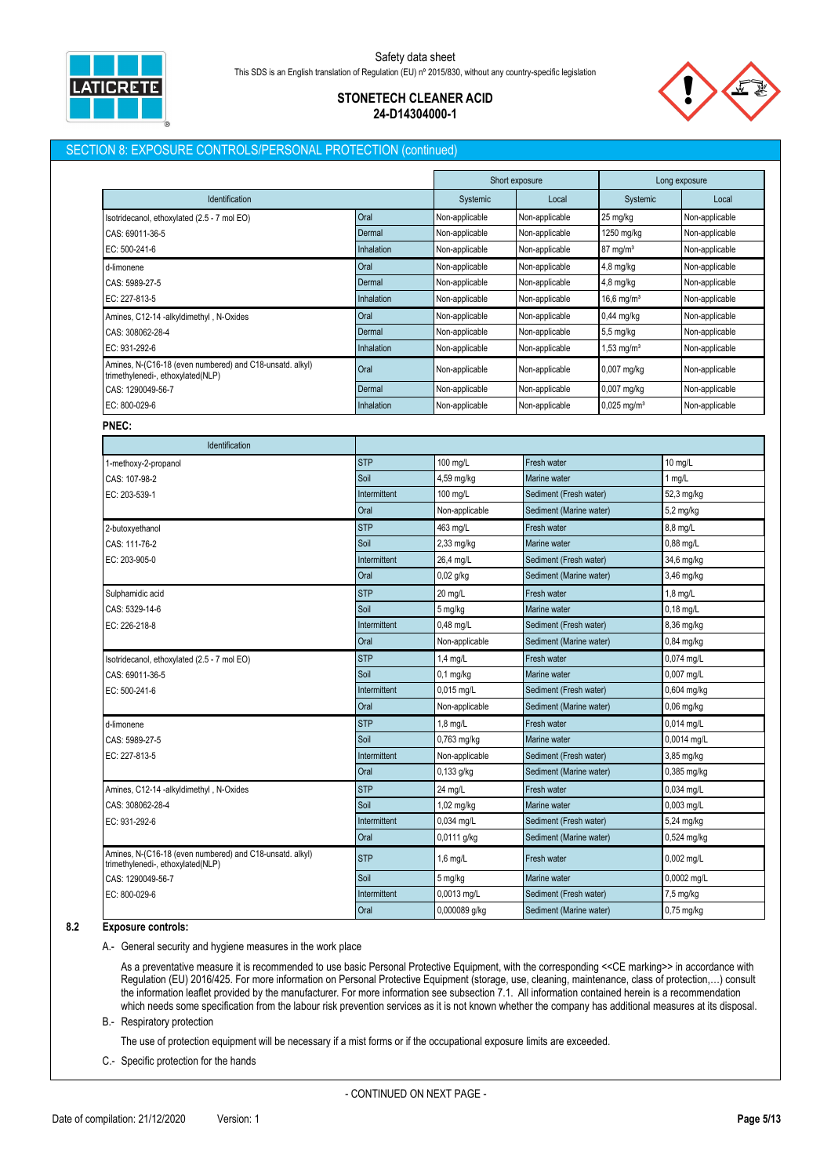

# **STONETECH CLEANER ACID 24-D14304000-1**

# SECTION 8: EXPOSURE CONTROLS/PERSONAL PROTECTION (continued)

|                                                                                               |              |                | Short exposure          |                           | Long exposure  |
|-----------------------------------------------------------------------------------------------|--------------|----------------|-------------------------|---------------------------|----------------|
| Identification                                                                                |              | Systemic       | Local                   | Systemic                  | Local          |
| Isotridecanol, ethoxylated (2.5 - 7 mol EO)                                                   | Oral         | Non-applicable | Non-applicable          | 25 mg/kg                  | Non-applicable |
| CAS: 69011-36-5                                                                               | Dermal       | Non-applicable | Non-applicable          | 1250 mg/kg                | Non-applicable |
| EC: 500-241-6                                                                                 | Inhalation   | Non-applicable | Non-applicable          | $87$ mg/m <sup>3</sup>    | Non-applicable |
| d-limonene                                                                                    | Oral         | Non-applicable | Non-applicable          | $4,8$ mg/kg               | Non-applicable |
| CAS: 5989-27-5                                                                                | Dermal       | Non-applicable | Non-applicable          | 4,8 mg/kg                 | Non-applicable |
| EC: 227-813-5                                                                                 | Inhalation   | Non-applicable | Non-applicable          | $16,6$ mg/m <sup>3</sup>  | Non-applicable |
| Amines, C12-14 -alkyldimethyl, N-Oxides                                                       | Oral         | Non-applicable | Non-applicable          | $0,44$ mg/kg              | Non-applicable |
| CAS: 308062-28-4                                                                              | Dermal       | Non-applicable | Non-applicable          | 5,5 mg/kg                 | Non-applicable |
| EC: 931-292-6                                                                                 | Inhalation   | Non-applicable | Non-applicable          | 1,53 mg/m <sup>3</sup>    | Non-applicable |
| Amines, N-(C16-18 (even numbered) and C18-unsatd. alkyl)<br>trimethylenedi-, ethoxylated(NLP) | Oral         | Non-applicable | Non-applicable          | 0,007 mg/kg               | Non-applicable |
| CAS: 1290049-56-7                                                                             | Dermal       | Non-applicable | Non-applicable          | 0,007 mg/kg               | Non-applicable |
| EC: 800-029-6                                                                                 | Inhalation   | Non-applicable | Non-applicable          | $0,025$ mg/m <sup>3</sup> | Non-applicable |
| PNEC:                                                                                         |              |                |                         |                           |                |
| Identification                                                                                |              |                |                         |                           |                |
| 1-methoxy-2-propanol                                                                          | <b>STP</b>   | 100 mg/L       | Fresh water             |                           | 10 mg/L        |
| CAS: 107-98-2                                                                                 | Soil         | 4,59 mg/kg     | Marine water            |                           | 1 $mg/L$       |
| EC: 203-539-1                                                                                 | Intermittent | 100 mg/L       | Sediment (Fresh water)  |                           | 52,3 mg/kg     |
|                                                                                               | Oral         | Non-applicable | Sediment (Marine water) |                           | 5,2 mg/kg      |
| 2-butoxyethanol                                                                               | <b>STP</b>   | 463 mg/L       | Fresh water             | 8,8 mg/L                  |                |
| CAS: 111-76-2                                                                                 | Soil         | $2,33$ mg/kg   | Marine water            | 0,88 mg/L                 |                |
| EC: 203-905-0                                                                                 | Intermittent | 26,4 mg/L      | Sediment (Fresh water)  |                           | 34,6 mg/kg     |
|                                                                                               | Oral         | $0,02$ g/kg    | Sediment (Marine water) |                           | $3,46$ mg/kg   |
| Sulphamidic acid                                                                              | <b>STP</b>   | 20 mg/L        | Fresh water             |                           | 1,8 mg/L       |
| CAS: 5329-14-6                                                                                | Soil         | 5 mg/kg        | Marine water            |                           | $0,18$ mg/L    |
| EC: 226-218-8                                                                                 | Intermittent | $0,48$ mg/L    | Sediment (Fresh water)  |                           | 8,36 mg/kg     |
|                                                                                               | Oral         | Non-applicable | Sediment (Marine water) |                           | 0,84 mg/kg     |
| Isotridecanol, ethoxylated (2.5 - 7 mol EO)                                                   | <b>STP</b>   | $1,4$ mg/L     | Fresh water             |                           | 0,074 mg/L     |
| CAS: 69011-36-5                                                                               | Soil         | $0,1$ mg/kg    | Marine water            |                           | $0,007$ mg/L   |
| EC: 500-241-6                                                                                 | Intermittent | 0,015 mg/L     | Sediment (Fresh water)  |                           | 0,604 mg/kg    |
|                                                                                               | Oral         | Non-applicable | Sediment (Marine water) |                           | 0,06 mg/kg     |
| d-limonene                                                                                    | <b>STP</b>   | $1,8$ mg/L     | Fresh water             |                           | 0,014 mg/L     |
| CAS: 5989-27-5                                                                                | Soil         | 0,763 mg/kg    | Marine water            |                           | 0,0014 mg/L    |
| EC: 227-813-5                                                                                 | Intermittent | Non-applicable | Sediment (Fresh water)  |                           | 3,85 mg/kg     |
|                                                                                               | Oral         | 0,133 g/kg     | Sediment (Marine water) |                           | 0,385 mg/kg    |
| Amines, C12-14 -alkyldimethyl, N-Oxides                                                       | <b>STP</b>   | 24 mg/L        | Fresh water             |                           | 0,034 mg/L     |
| CAS: 308062-28-4                                                                              | Soil         | 1,02 mg/kg     | Marine water            |                           | 0,003 mg/L     |
| EC: 931-292-6                                                                                 | Intermittent | 0,034 mg/L     | Sediment (Fresh water)  |                           | 5,24 mg/kg     |
|                                                                                               | Oral         | 0,0111 g/kg    | Sediment (Marine water) |                           | 0,524 mg/kg    |
| Amines, N-(C16-18 (even numbered) and C18-unsatd. alkyl)<br>trimethylenedi-, ethoxylated(NLP) | <b>STP</b>   | $1,6$ mg/L     | Fresh water             |                           | 0,002 mg/L     |
| CAS: 1290049-56-7                                                                             | Soil         | 5 mg/kg        | Marine water            |                           | 0,0002 mg/L    |
| EC: 800-029-6                                                                                 | Intermittent | 0,0013 mg/L    | Sediment (Fresh water)  |                           | 7,5 mg/kg      |
|                                                                                               | Oral         | 0,000089 g/kg  | Sediment (Marine water) |                           | $0,75$ mg/kg   |

**8.2 Exposure controls:**

A.- General security and hygiene measures in the work place

As a preventative measure it is recommended to use basic Personal Protective Equipment, with the corresponding <<CE marking>> in accordance with Regulation (EU) 2016/425. For more information on Personal Protective Equipment (storage, use, cleaning, maintenance, class of protection,…) consult the information leaflet provided by the manufacturer. For more information see subsection 7.1. All information contained herein is a recommendation which needs some specification from the labour risk prevention services as it is not known whether the company has additional measures at its disposal.

B.- Respiratory protection

The use of protection equipment will be necessary if a mist forms or if the occupational exposure limits are exceeded.

C.- Specific protection for the hands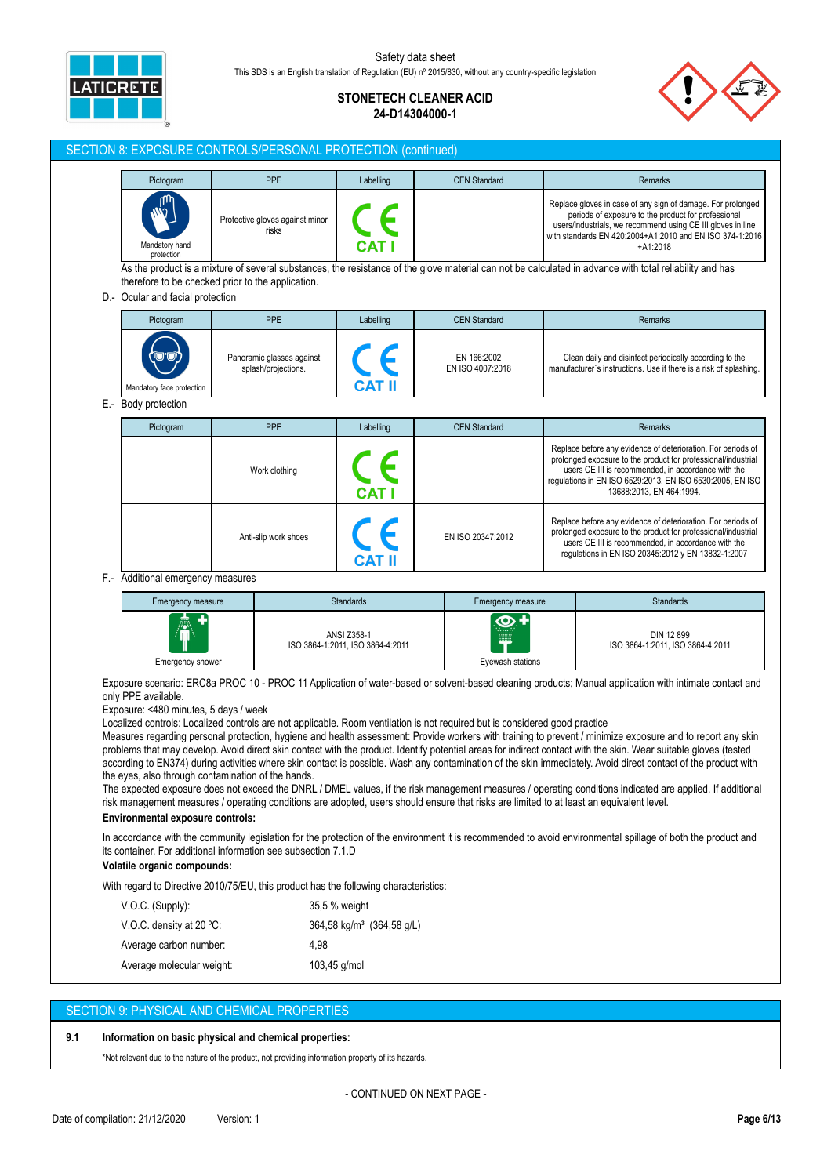

# **STONETECH CLEANER ACID 24-D14304000-1**

## SECTION 8: EXPOSURE CONTROLS/PERSONAL PROTECTION (continued)

| Pictogram                                    | PPE                                      | Labelling | <b>CEN Standard</b> | Remarks                                                                                                                                                                                                                                                     |
|----------------------------------------------|------------------------------------------|-----------|---------------------|-------------------------------------------------------------------------------------------------------------------------------------------------------------------------------------------------------------------------------------------------------------|
| <b>Algre</b><br>Mandatory hand<br>protection | Protective gloves against minor<br>risks | CAT       |                     | Replace gloves in case of any sign of damage. For prolonged<br>periods of exposure to the product for professional<br>users/industrials, we recommend using CE III gloves in line<br>with standards EN 420:2004+A1:2010 and EN ISO 374-1:2016<br>$+A1:2018$ |

As the product is a mixture of several substances, the resistance of the glove material can not be calculated in advance with total reliability and has therefore to be checked prior to the application.

## D.- Ocular and facial protection

| Pictogram                         | PPE                       | Labelling | <b>CEN Standard</b> | <b>Remarks</b>                                                    |
|-----------------------------------|---------------------------|-----------|---------------------|-------------------------------------------------------------------|
| $\langle \bullet \bullet \rangle$ | Panoramic glasses against | CAT I     | EN 166:2002         | Clean daily and disinfect periodically according to the           |
| Mandatory face protection         | splash/projections.       |           | EN ISO 4007:2018    | manufacturer's instructions. Use if there is a risk of splashing. |

E.- Body protection

| Pictogram | <b>PPE</b>           | Labelling  | <b>CEN Standard</b> | <b>Remarks</b>                                                                                                                                                                                                                                                                |
|-----------|----------------------|------------|---------------------|-------------------------------------------------------------------------------------------------------------------------------------------------------------------------------------------------------------------------------------------------------------------------------|
|           | Work clothing        | <b>CAT</b> |                     | Replace before any evidence of deterioration. For periods of<br>prolonged exposure to the product for professional/industrial<br>users CE III is recommended, in accordance with the<br>regulations in EN ISO 6529:2013, EN ISO 6530:2005, EN ISO<br>13688:2013. EN 464:1994. |
|           | Anti-slip work shoes |            | EN ISO 20347:2012   | Replace before any evidence of deterioration. For periods of<br>prolonged exposure to the product for professional/industrial<br>users CE III is recommended, in accordance with the<br>regulations in EN ISO 20345:2012 y EN 13832-1:2007                                    |

F.- Additional emergency measures

| Emergency measure     | <b>Standards</b>                                | <b>Emergency measure</b>                      | <b>Standards</b>                               |
|-----------------------|-------------------------------------------------|-----------------------------------------------|------------------------------------------------|
| 昼<br>Emergency shower | ANSI Z358-1<br>ISO 3864-1:2011, ISO 3864-4:2011 | $\bm{\Phi}$ +<br>wma<br>m<br>Evewash stations | DIN 12 899<br>ISO 3864-1:2011, ISO 3864-4:2011 |

Exposure scenario: ERC8a PROC 10 - PROC 11 Application of water-based or solvent-based cleaning products; Manual application with intimate contact and only PPE available.

Exposure: <480 minutes, 5 days / week

Localized controls: Localized controls are not applicable. Room ventilation is not required but is considered good practice

Measures regarding personal protection, hygiene and health assessment: Provide workers with training to prevent / minimize exposure and to report any skin problems that may develop. Avoid direct skin contact with the product. Identify potential areas for indirect contact with the skin. Wear suitable gloves (tested according to EN374) during activities where skin contact is possible. Wash any contamination of the skin immediately. Avoid direct contact of the product with the eyes, also through contamination of the hands.

The expected exposure does not exceed the DNRL / DMEL values, if the risk management measures / operating conditions indicated are applied. If additional risk management measures / operating conditions are adopted, users should ensure that risks are limited to at least an equivalent level.

### **Environmental exposure controls:**

In accordance with the community legislation for the protection of the environment it is recommended to avoid environmental spillage of both the product and its container. For additional information see subsection 7.1.D

#### **Volatile organic compounds:**

With regard to Directive 2010/75/EU, this product has the following characteristics:

| $V.O.C.$ (Supply):          | 35,5 % weight                        |
|-----------------------------|--------------------------------------|
| V.O.C. density at 20 $°C$ : | $364.58 \text{ kg/m}^3$ (364.58 g/L) |
| Average carbon number:      | 4.98                                 |
| Average molecular weight:   | 103,45 g/mol                         |

## SECTION 9: PHYSICAL AND CHEMICAL PROPERTIES

#### **9.1 Information on basic physical and chemical properties:**

\*Not relevant due to the nature of the product, not providing information property of its hazards.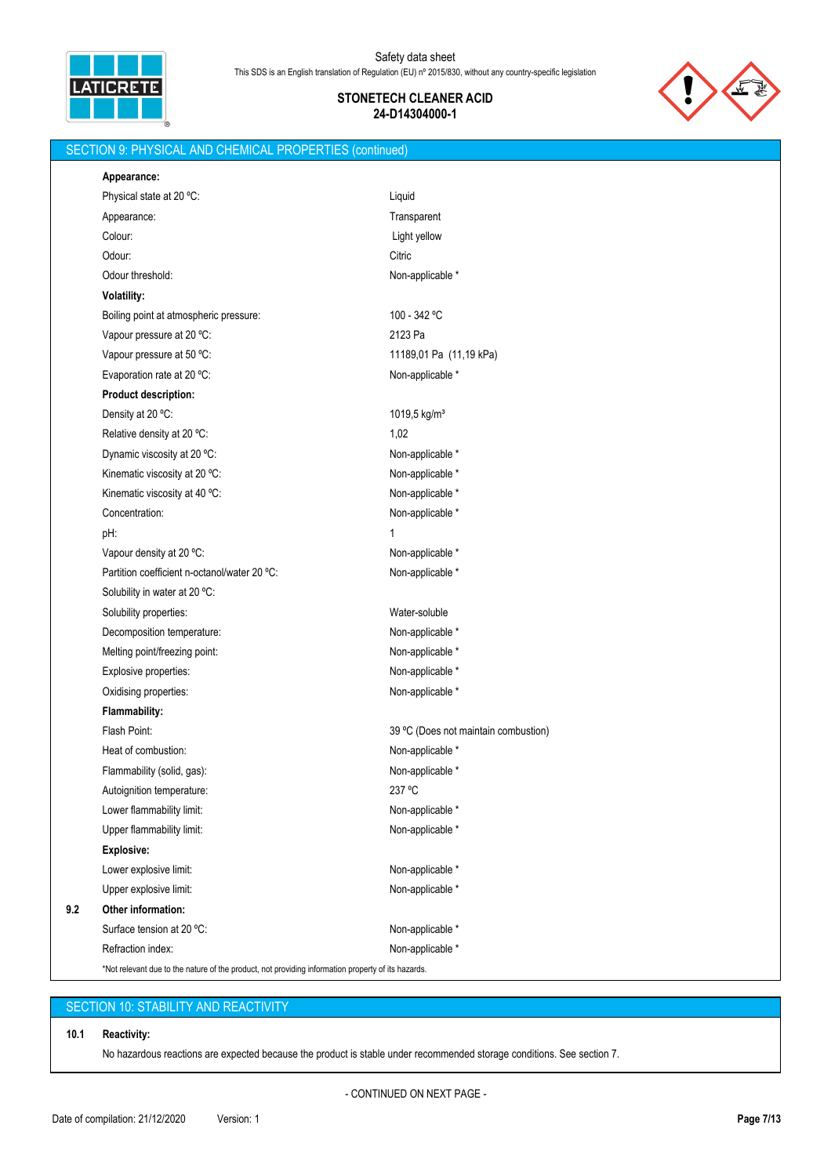

SECTION 9: PHYSICAL AND CHEMICAL PROPERTIES (continued)

# **STONETECH CLEANER ACID 24-D14304000-1**



# **Appearance:** Physical state at 20 °C: Liquid Appearance: Transparent Colour: Light yellow Odour: Citric Control of the Control of the Control of the Citric Citric Citric Citric Odour threshold: Non-applicable \* **Volatility:** Boiling point at atmospheric pressure: 100 - 342 °C Vapour pressure at 20 °C: 2123 Pa Vapour pressure at 50 °C: 11189,01 Pa (11,19 kPa) Evaporation rate at 20 °C: Non-applicable \* Non-applicable \* **Product description:** Density at 20 °C: 1019,5 kg/m<sup>3</sup> Relative density at  $20^{\circ}$ C: 1,02 Dynamic viscosity at 20 °C: Non-applicable \* Non-applicable \* Kinematic viscosity at 20 °C: Non-applicable \* Non-applicable \* Kinematic viscosity at 40 °C: Non-applicable \* Non-applicable \* Concentration: Non-applicable \* pH: 1 Vapour density at 20 °C: Non-applicable \* Partition coefficient n-octanol/water 20 °C: Non-applicable \* Solubility in water at 20 °C: Solubility properties: Water-soluble Decomposition temperature: Non-applicable \* Non-applicable \* Melting point/freezing point: Non-applicable \* Non-applicable \* Explosive properties: Non-applicable \* Oxidising properties: Non-applicable \* **Flammability:** Flash Point: Flash Point: 39 °C (Does not maintain combustion) Heat of combustion: Non-applicable \* Flammability (solid, gas):  $\blacksquare$ Autoignition temperature: 237 °C Lower flammability limit:  $\blacksquare$ Upper flammability limit:  $\blacksquare$ **Explosive:** Lower explosive limit:  $\blacksquare$ Upper explosive limit:  $\blacksquare$ **9.2 Other information:** Surface tension at 20 °C: Non-applicable \* Refraction index: Non-applicable \* \*Not relevant due to the nature of the product, not providing information property of its hazards.

# SECTION 10: STABILITY AND REACTIVITY

#### **10.1 Reactivity:**

No hazardous reactions are expected because the product is stable under recommended storage conditions. See section 7.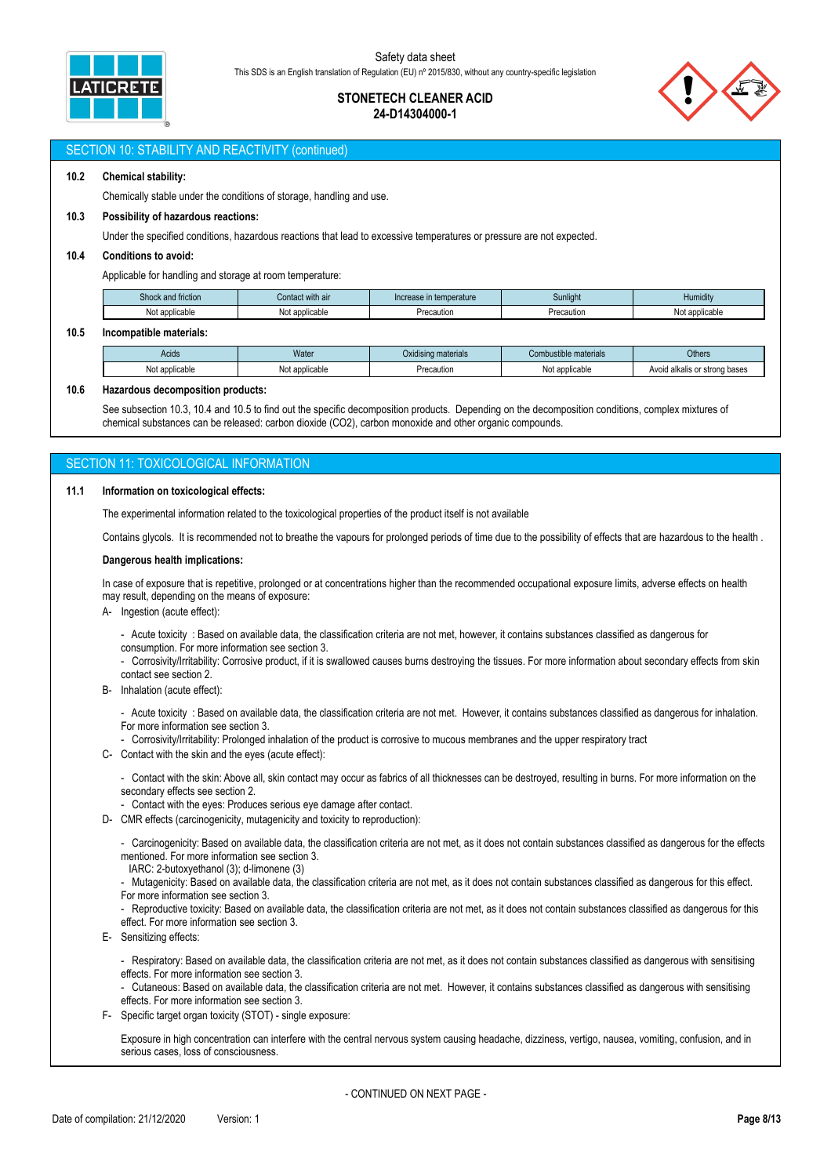

# **STONETECH CLEANER ACID 24-D14304000-1**



### SECTION 10: STABILITY AND REACTIVITY (continued)

### **10.2 Chemical stability:**

Chemically stable under the conditions of storage, handling and use.

#### **10.3 Possibility of hazardous reactions:**

Under the specified conditions, hazardous reactions that lead to excessive temperatures or pressure are not expected.

### **10.4 Conditions to avoid:**

Applicable for handling and storage at room temperature:

| <b>Shock</b><br>and friction | it with all<br>Contact | Increase in temperature | Sunlight   | $\sim$<br>Humidity |
|------------------------------|------------------------|-------------------------|------------|--------------------|
| applicable<br>٦U.            | applicable<br>Not      | -recautior              | Precaution | Not applicable     |

#### **10.5 Incompatible materials:**

| Precaution<br>Not applicable<br><b>Vot applicable</b><br>Not applicable<br>Avoid | Acids | Water | $\mathbf{r}$<br>Oxidising materials | Combustible materials | <b>Others</b>              |
|----------------------------------------------------------------------------------|-------|-------|-------------------------------------|-----------------------|----------------------------|
|                                                                                  |       |       |                                     |                       | d alkalis or strong bases_ |

#### **10.6 Hazardous decomposition products:**

See subsection 10.3, 10.4 and 10.5 to find out the specific decomposition products. Depending on the decomposition conditions, complex mixtures of chemical substances can be released: carbon dioxide (CO2), carbon monoxide and other organic compounds.

# **SECTION 11: TOXICOLOGICAL INFORMATION**

#### **11.1 Information on toxicological effects:**

The experimental information related to the toxicological properties of the product itself is not available

Contains glycols. It is recommended not to breathe the vapours for prolonged periods of time due to the possibility of effects that are hazardous to the health .

#### **Dangerous health implications:**

In case of exposure that is repetitive, prolonged or at concentrations higher than the recommended occupational exposure limits, adverse effects on health may result, depending on the means of exposure:

A- Ingestion (acute effect):

- Acute toxicity : Based on available data, the classification criteria are not met, however, it contains substances classified as dangerous for consumption. For more information see section 3.

- Corrosivity/Irritability: Corrosive product, if it is swallowed causes burns destroying the tissues. For more information about secondary effects from skin contact see section 2.

B- Inhalation (acute effect):

- Acute toxicity : Based on available data, the classification criteria are not met. However, it contains substances classified as dangerous for inhalation. For more information see section 3.

- Corrosivity/Irritability: Prolonged inhalation of the product is corrosive to mucous membranes and the upper respiratory tract

C- Contact with the skin and the eyes (acute effect):

- Contact with the skin: Above all, skin contact may occur as fabrics of all thicknesses can be destroyed, resulting in burns. For more information on the secondary effects see section 2.

- Contact with the eyes: Produces serious eye damage after contact.

D- CMR effects (carcinogenicity, mutagenicity and toxicity to reproduction):

- Carcinogenicity: Based on available data, the classification criteria are not met, as it does not contain substances classified as dangerous for the effects mentioned. For more information see section 3.

IARC: 2-butoxyethanol (3); d-limonene (3)

- Mutagenicity: Based on available data, the classification criteria are not met, as it does not contain substances classified as dangerous for this effect. For more information see section 3.

- Reproductive toxicity: Based on available data, the classification criteria are not met, as it does not contain substances classified as dangerous for this effect. For more information see section 3.

E- Sensitizing effects:

- Respiratory: Based on available data, the classification criteria are not met, as it does not contain substances classified as dangerous with sensitising effects. For more information see section 3.

- Cutaneous: Based on available data, the classification criteria are not met. However, it contains substances classified as dangerous with sensitising effects. For more information see section 3.

F- Specific target organ toxicity (STOT) - single exposure:

Exposure in high concentration can interfere with the central nervous system causing headache, dizziness, vertigo, nausea, vomiting, confusion, and in serious cases, loss of consciousness.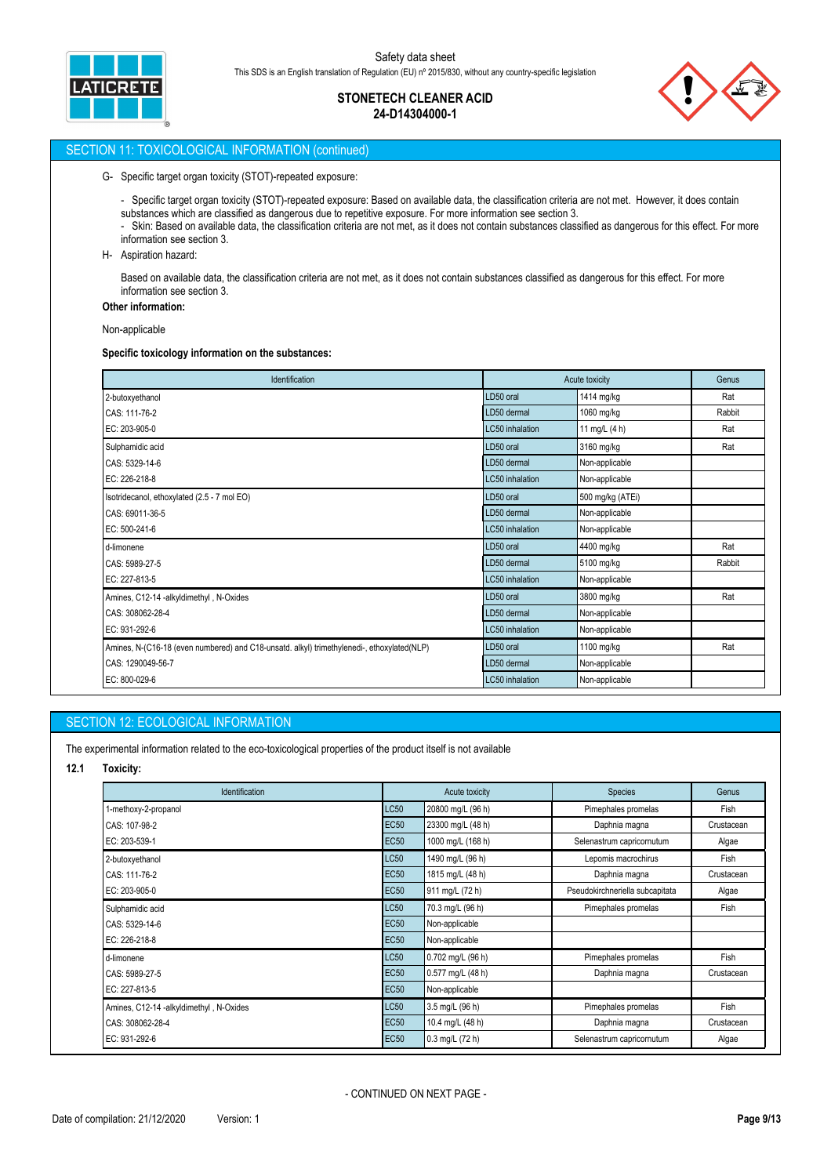

# **STONETECH CLEANER ACID 24-D14304000-1**



# SECTION 11: TOXICOLOGICAL INFORMATION (continued)

#### G- Specific target organ toxicity (STOT)-repeated exposure:

- Specific target organ toxicity (STOT)-repeated exposure: Based on available data, the classification criteria are not met. However, it does contain substances which are classified as dangerous due to repetitive exposure. For more information see section 3.

- Skin: Based on available data, the classification criteria are not met, as it does not contain substances classified as dangerous for this effect. For more information see section 3.
- H- Aspiration hazard:

Based on available data, the classification criteria are not met, as it does not contain substances classified as dangerous for this effect. For more information see section 3.

# **Other information:**

Non-applicable

#### **Specific toxicology information on the substances:**

| Identification                                                                             | Acute toxicity  | Genus            |        |
|--------------------------------------------------------------------------------------------|-----------------|------------------|--------|
| 2-butoxyethanol                                                                            | LD50 oral       | 1414 mg/kg       | Rat    |
| CAS: 111-76-2                                                                              | LD50 dermal     | 1060 mg/kg       | Rabbit |
| EC: 203-905-0                                                                              | LC50 inhalation | 11 mg/L (4 h)    | Rat    |
| Sulphamidic acid                                                                           | LD50 oral       | 3160 mg/kg       | Rat    |
| CAS: 5329-14-6                                                                             | LD50 dermal     | Non-applicable   |        |
| EC: 226-218-8                                                                              | LC50 inhalation | Non-applicable   |        |
| Isotridecanol, ethoxylated (2.5 - 7 mol EO)                                                | LD50 oral       | 500 mg/kg (ATEi) |        |
| CAS: 69011-36-5                                                                            | LD50 dermal     | Non-applicable   |        |
| EC: 500-241-6                                                                              | LC50 inhalation | Non-applicable   |        |
| d-limonene                                                                                 | LD50 oral       | 4400 mg/kg       | Rat    |
| CAS: 5989-27-5                                                                             | LD50 dermal     | 5100 mg/kg       | Rabbit |
| EC: 227-813-5                                                                              | LC50 inhalation | Non-applicable   |        |
| Amines, C12-14 -alkyldimethyl, N-Oxides                                                    | LD50 oral       | 3800 mg/kg       | Rat    |
| CAS: 308062-28-4                                                                           | LD50 dermal     | Non-applicable   |        |
| EC: 931-292-6                                                                              | LC50 inhalation | Non-applicable   |        |
| Amines, N-(C16-18 (even numbered) and C18-unsatd. alkyl) trimethylenedi-, ethoxylated(NLP) | LD50 oral       | 1100 mg/kg       | Rat    |
| CAS: 1290049-56-7                                                                          | LD50 dermal     | Non-applicable   |        |
| EC: 800-029-6                                                                              | LC50 inhalation | Non-applicable   |        |

# SECTION 12: ECOLOGICAL INFORMATION

The experimental information related to the eco-toxicological properties of the product itself is not available

**12.1 Toxicity:**

| Identification                          |             | Acute toxicity    | <b>Species</b>                  | Genus      |
|-----------------------------------------|-------------|-------------------|---------------------------------|------------|
| 1-methoxy-2-propanol                    | LC50        | 20800 mg/L (96 h) | Pimephales promelas             | Fish       |
| CAS: 107-98-2                           | <b>EC50</b> | 23300 mg/L (48 h) | Daphnia magna                   | Crustacean |
| EC: 203-539-1                           | <b>EC50</b> | 1000 mg/L (168 h) | Selenastrum capricornutum       | Algae      |
| 2-butoxyethanol                         | LC50        | 1490 mg/L (96 h)  | Lepomis macrochirus             | Fish       |
| CAS: 111-76-2                           | <b>EC50</b> | 1815 mg/L (48 h)  | Daphnia magna                   | Crustacean |
| EC: 203-905-0                           |             | 911 mg/L (72 h)   | Pseudokirchneriella subcapitata | Algae      |
| Sulphamidic acid                        | LC50        | 70.3 mg/L (96 h)  | Pimephales promelas             | Fish       |
| CAS: 5329-14-6                          |             | Non-applicable    |                                 |            |
| EC: 226-218-8                           | <b>EC50</b> | Non-applicable    |                                 |            |
| d-limonene                              | <b>LC50</b> | 0.702 mg/L (96 h) | Pimephales promelas             | Fish       |
| CAS: 5989-27-5                          | <b>EC50</b> | 0.577 mg/L (48 h) | Daphnia magna                   | Crustacean |
| EC: 227-813-5                           | <b>EC50</b> | Non-applicable    |                                 |            |
| Amines, C12-14 -alkyldimethyl, N-Oxides | LC50        | 3.5 mg/L (96 h)   | Pimephales promelas             | Fish       |
| CAS: 308062-28-4                        | <b>EC50</b> | 10.4 mg/L (48 h)  | Daphnia magna                   | Crustacean |
| EC: 931-292-6                           | <b>EC50</b> | 0.3 mg/L (72 h)   | Selenastrum capricornutum       | Algae      |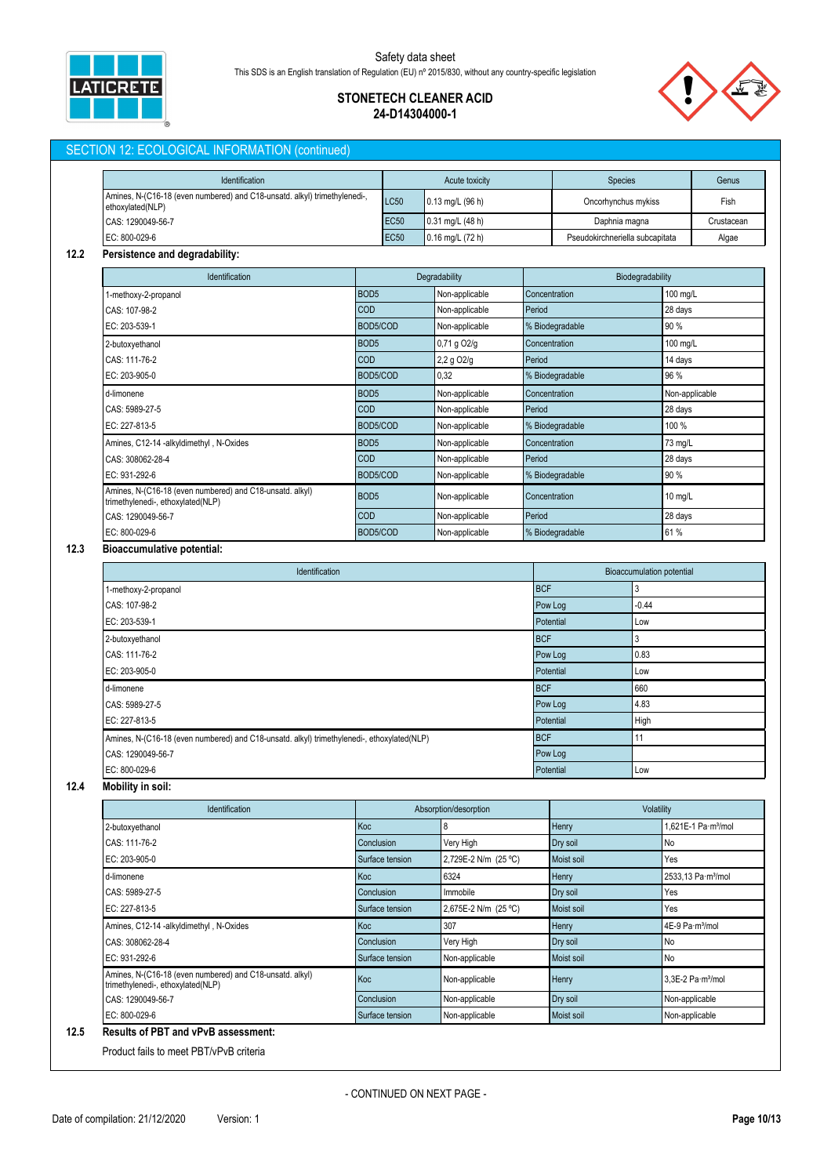

# **STONETECH CLEANER ACID 24-D14304000-1**

# SECTION 12: ECOLOGICAL INFORMATION (continued)

| Identification                                                                                |             | Acute toxicity       | <b>Species</b>                  | Genus      |
|-----------------------------------------------------------------------------------------------|-------------|----------------------|---------------------------------|------------|
| Amines, N-(C16-18 (even numbered) and C18-unsatd. alkyl) trimethylenedi-,<br>ethoxylated(NLP) | <b>LC50</b> | $0.13$ mg/L (96 h)   | Oncorhynchus mykiss             | Fish       |
| CAS: 1290049-56-7                                                                             | <b>EC50</b> | $0.31$ mg/L (48 h)   | Daphnia magna                   | Crustacean |
| EC: 800-029-6                                                                                 | <b>EC50</b> | $0.16$ mg/L $(72 h)$ | Pseudokirchneriella subcapitata | Algae      |

## **12.2 Persistence and degradability:**

| <b>Identification</b>                                                                         |                  | Degradability          | Biodegradability |                |
|-----------------------------------------------------------------------------------------------|------------------|------------------------|------------------|----------------|
| 1-methoxy-2-propanol                                                                          | BOD <sub>5</sub> | Non-applicable         | Concentration    | 100 mg/L       |
| CAS: 107-98-2                                                                                 | <b>COD</b>       | Non-applicable         | Period           | 28 days        |
| EC: 203-539-1                                                                                 | BOD5/COD         | Non-applicable         | % Biodegradable  | 90 %           |
| 2-butoxyethanol                                                                               | BOD <sub>5</sub> | 0,71 g O2/g            | Concentration    | 100 mg/L       |
| CAS: 111-76-2                                                                                 | <b>COD</b>       | 2,2 g O <sub>2/g</sub> | Period           | 14 days        |
| EC: 203-905-0                                                                                 | BOD5/COD         | 0,32                   | % Biodegradable  | 96 %           |
| d-limonene                                                                                    | BOD <sub>5</sub> | Non-applicable         | Concentration    | Non-applicable |
| CAS: 5989-27-5                                                                                | <b>COD</b>       | Non-applicable         | Period           | 28 days        |
| EC: 227-813-5                                                                                 | BOD5/COD         | Non-applicable         | % Biodegradable  | 100 %          |
| Amines, C12-14 -alkyldimethyl, N-Oxides                                                       | BOD <sub>5</sub> | Non-applicable         | Concentration    | 73 mg/L        |
| CAS: 308062-28-4                                                                              | <b>COD</b>       | Non-applicable         | Period           | 28 days        |
| EC: 931-292-6                                                                                 | BOD5/COD         | Non-applicable         | % Biodegradable  | 90 %           |
| Amines, N-(C16-18 (even numbered) and C18-unsatd. alkyl)<br>trimethylenedi-, ethoxylated(NLP) | BOD <sub>5</sub> | Non-applicable         | Concentration    | 10 mg/L        |
| CAS: 1290049-56-7                                                                             | <b>COD</b>       | Non-applicable         | Period           | 28 days        |
| EC: 800-029-6                                                                                 | BOD5/COD         | Non-applicable         | % Biodegradable  | 61 %           |

# **12.3 Bioaccumulative potential:**

| Identification                                                                             | <b>Bioaccumulation potential</b> |         |  |
|--------------------------------------------------------------------------------------------|----------------------------------|---------|--|
| 1-methoxy-2-propanol                                                                       | <b>BCF</b>                       |         |  |
| CAS: 107-98-2                                                                              | Pow Log                          | $-0.44$ |  |
| EC: 203-539-1                                                                              | Potential                        | Low     |  |
| 2-butoxyethanol                                                                            | <b>BCF</b>                       |         |  |
| CAS: 111-76-2                                                                              | Pow Log                          | 0.83    |  |
| EC: 203-905-0                                                                              | Potential                        | Low     |  |
| d-limonene                                                                                 | <b>BCF</b>                       | 660     |  |
| CAS: 5989-27-5                                                                             | Pow Log                          | 4.83    |  |
| EC: 227-813-5                                                                              | Potential                        | High    |  |
| Amines, N-(C16-18 (even numbered) and C18-unsatd. alkyl) trimethylenedi-, ethoxylated(NLP) | <b>BCF</b>                       | 11      |  |
| CAS: 1290049-56-7                                                                          | Pow Log                          |         |  |
| EC: 800-029-6                                                                              | Potential                        | Low     |  |

# **12.4 Mobility in soil:**

| Identification                                                                                |                 | Absorption/desorption |              | Volatility                      |  |
|-----------------------------------------------------------------------------------------------|-----------------|-----------------------|--------------|---------------------------------|--|
| 2-butoxyethanol                                                                               | Koc             | 8                     | Henry        | 1,621E-1 Pa·m <sup>3</sup> /mol |  |
| CAS: 111-76-2                                                                                 | Conclusion      | Very High             | Dry soil     | No                              |  |
| EC: 203-905-0                                                                                 | Surface tension | 2,729E-2 N/m (25 °C)  | Moist soil   | Yes                             |  |
| d-limonene                                                                                    | Koc             | 6324                  | Henry        | 2533,13 Pa·m <sup>3</sup> /mol  |  |
| CAS: 5989-27-5                                                                                | Conclusion      | Immobile              | Dry soil     | Yes                             |  |
| EC: 227-813-5                                                                                 | Surface tension | 2,675E-2 N/m (25 °C)  | Moist soil   | Yes                             |  |
| Amines, C12-14 -alkyldimethyl, N-Oxides                                                       | Koc             | 307                   | <b>Henry</b> | 4E-9 Pa·m <sup>3</sup> /mol     |  |
| CAS: 308062-28-4                                                                              | Conclusion      | Very High             | Dry soil     | No                              |  |
| EC: 931-292-6                                                                                 | Surface tension | Non-applicable        | Moist soil   | <b>No</b>                       |  |
| Amines, N-(C16-18 (even numbered) and C18-unsatd. alkyl)<br>trimethylenedi-, ethoxylated(NLP) | Koc             | Non-applicable        | Henry        | 3.3E-2 Pa m <sup>3</sup> /mol   |  |
| CAS: 1290049-56-7                                                                             | Conclusion      | Non-applicable        | Dry soil     | Non-applicable                  |  |
| EC: 800-029-6                                                                                 | Surface tension | Non-applicable        | Moist soil   | Non-applicable                  |  |

Product fails to meet PBT/vPvB criteria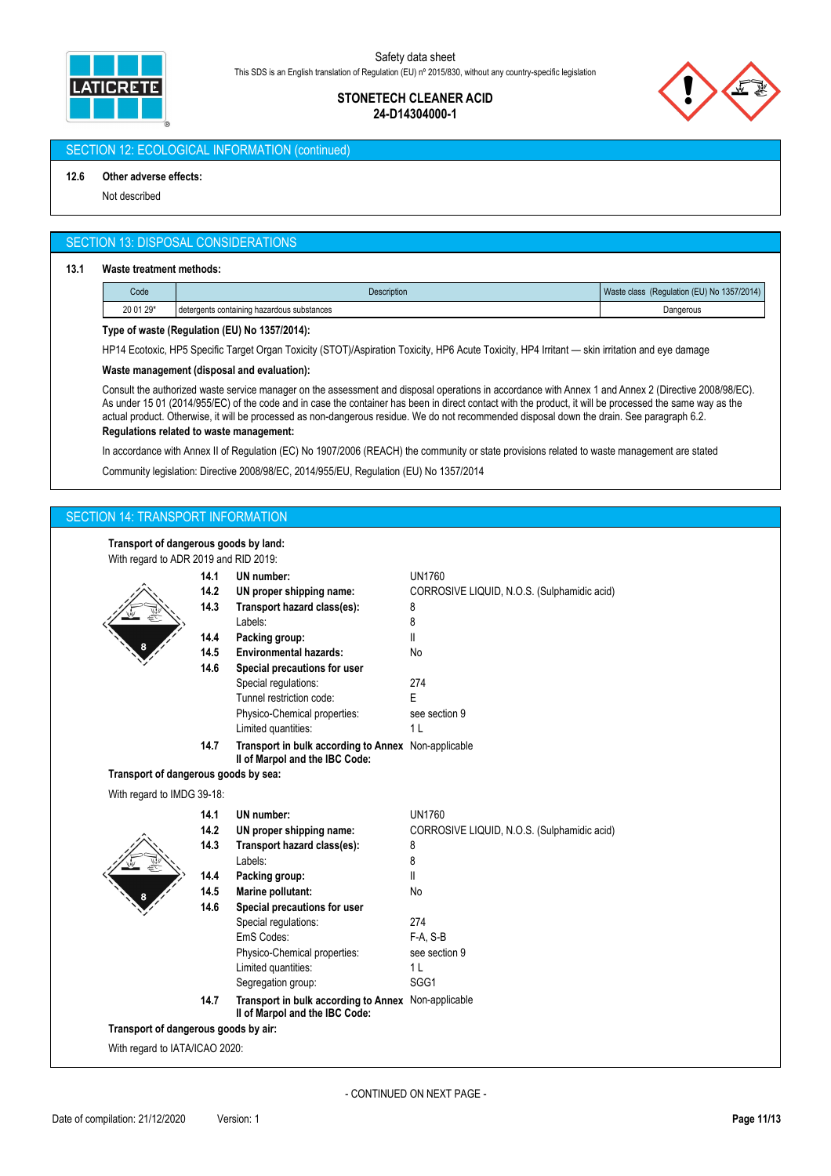

# **STONETECH CLEANER ACID 24-D14304000-1**



# SECTION 12: ECOLOGICAL INFORMATION (continued)

#### **12.6 Other adverse effects:**

Not described

## SECTION 13: DISPOSAL CONSIDERATIONS

#### **13.1 Waste treatment methods:**

| Code      | <b>Description</b>                         | (Regulation (EU) No 1357/2014)<br>Waste class |
|-----------|--------------------------------------------|-----------------------------------------------|
| 20 01 29* | detergents containing hazardous substances | Dangerous                                     |

## **Type of waste (Regulation (EU) No 1357/2014):**

HP14 Ecotoxic, HP5 Specific Target Organ Toxicity (STOT)/Aspiration Toxicity, HP6 Acute Toxicity, HP4 Irritant — skin irritation and eye damage

#### **Waste management (disposal and evaluation):**

Consult the authorized waste service manager on the assessment and disposal operations in accordance with Annex 1 and Annex 2 (Directive 2008/98/EC). As under 15 01 (2014/955/EC) of the code and in case the container has been in direct contact with the product, it will be processed the same way as the actual product. Otherwise, it will be processed as non-dangerous residue. We do not recommended disposal down the drain. See paragraph 6.2.

## **Regulations related to waste management:**

In accordance with Annex II of Regulation (EC) No 1907/2006 (REACH) the community or state provisions related to waste management are stated

Community legislation: Directive 2008/98/EC, 2014/955/EU, Regulation (EU) No 1357/2014

# SECTION 14: TRANSPORT INFORMATION

**Transport of dangerous goods by land:**

| manapont or dangerous goods by land.<br>With regard to ADR 2019 and RID 2019: |      |                                                                                       |                                             |
|-------------------------------------------------------------------------------|------|---------------------------------------------------------------------------------------|---------------------------------------------|
|                                                                               | 14.1 | UN number:                                                                            | <b>UN1760</b>                               |
|                                                                               | 14.2 | UN proper shipping name:                                                              | CORROSIVE LIQUID, N.O.S. (Sulphamidic acid) |
|                                                                               | 14.3 | Transport hazard class(es):                                                           | 8                                           |
|                                                                               |      | Labels:                                                                               | 8                                           |
|                                                                               | 14.4 | Packing group:                                                                        | Ш                                           |
|                                                                               | 14.5 | <b>Environmental hazards:</b>                                                         | No                                          |
|                                                                               | 14.6 | Special precautions for user                                                          |                                             |
|                                                                               |      | Special regulations:                                                                  | 274                                         |
|                                                                               |      | Tunnel restriction code:                                                              | E                                           |
|                                                                               |      | Physico-Chemical properties:                                                          | see section 9                               |
|                                                                               |      | Limited quantities:                                                                   | 1 <sub>L</sub>                              |
|                                                                               | 14.7 | Transport in bulk according to Annex Non-applicable<br>II of Marpol and the IBC Code: |                                             |
| Transport of dangerous goods by sea:                                          |      |                                                                                       |                                             |
| With regard to IMDG 39-18:                                                    |      |                                                                                       |                                             |
|                                                                               | 14.1 | UN number:                                                                            | <b>UN1760</b>                               |
|                                                                               | 14.2 | UN proper shipping name:                                                              | CORROSIVE LIQUID, N.O.S. (Sulphamidic acid) |
|                                                                               | 14.3 | Transport hazard class(es):                                                           | 8                                           |
|                                                                               |      | Labels:                                                                               | 8                                           |
|                                                                               | 14.4 | Packing group:                                                                        | Ш                                           |
|                                                                               | 14.5 | Marine pollutant:                                                                     | No                                          |
|                                                                               | 14.6 | Special precautions for user                                                          |                                             |
|                                                                               |      | Special regulations:                                                                  | 274                                         |
|                                                                               |      | EmS Codes:                                                                            | F-A, S-B                                    |
|                                                                               |      | Physico-Chemical properties:                                                          | see section 9                               |
|                                                                               |      | Limited quantities:                                                                   | 1 <sub>L</sub>                              |
|                                                                               |      | Segregation group:                                                                    | SGG1                                        |
|                                                                               | 14.7 | Transport in bulk according to Annex Non-applicable<br>Il of Marpol and the IBC Code: |                                             |
| Transport of dangerous goods by air:                                          |      |                                                                                       |                                             |
|                                                                               |      |                                                                                       |                                             |
| With regard to IATA/ICAO 2020:                                                |      |                                                                                       |                                             |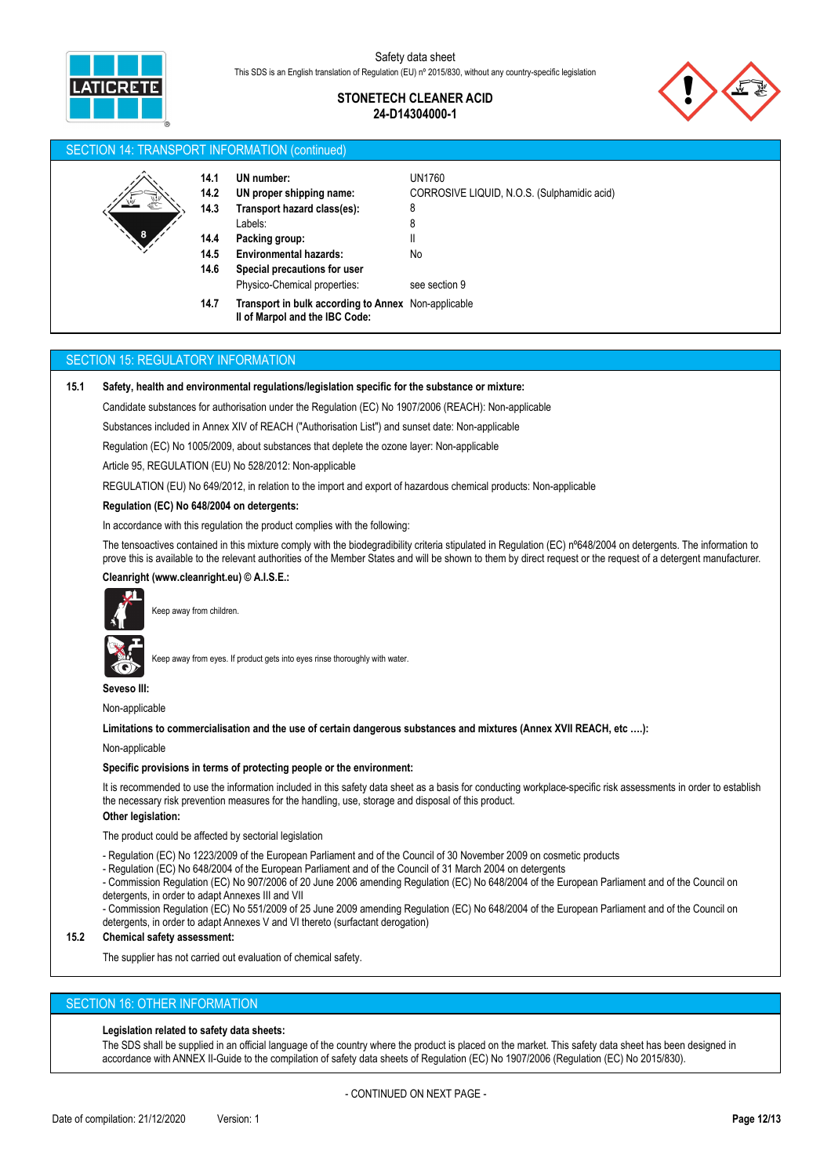

# **STONETECH CLEANER ACID 24-D14304000-1**



### SECTION 14: TRANSPORT INFORMATION (continued)

| € | 14.1<br>14.2<br>14.3 | UN number:<br>UN proper shipping name:<br>Transport hazard class(es):                 | UN1760<br>CORROSIVE LIQUID, N.O.S. (Sulphamidic acid)<br>8 |
|---|----------------------|---------------------------------------------------------------------------------------|------------------------------------------------------------|
|   |                      | Labels:                                                                               | 8                                                          |
| 8 | 14.4                 | Packing group:                                                                        | $\mathsf{I}$                                               |
|   | 14.5                 | <b>Environmental hazards:</b>                                                         | No                                                         |
|   | 14.6                 | Special precautions for user                                                          |                                                            |
|   |                      | Physico-Chemical properties:                                                          | see section 9                                              |
|   | 14.7                 | Transport in bulk according to Annex Non-applicable<br>Il of Marpol and the IBC Code: |                                                            |

#### SECTION 15: REGULATORY INFORMATION

**15.1 Safety, health and environmental regulations/legislation specific for the substance or mixture:**

Candidate substances for authorisation under the Regulation (EC) No 1907/2006 (REACH): Non-applicable

Substances included in Annex XIV of REACH ("Authorisation List") and sunset date: Non-applicable

Regulation (EC) No 1005/2009, about substances that deplete the ozone layer: Non-applicable

Article 95, REGULATION (EU) No 528/2012: Non-applicable

REGULATION (EU) No 649/2012, in relation to the import and export of hazardous chemical products: Non-applicable

#### **Regulation (EC) No 648/2004 on detergents:**

In accordance with this regulation the product complies with the following:

The tensoactives contained in this mixture comply with the biodegradibility criteria stipulated in Regulation (EC) n°648/2004 on detergents. The information to prove this is available to the relevant authorities of the Member States and will be shown to them by direct request or the request of a detergent manufacturer.

#### **Cleanright (www.cleanright.eu) © A.I.S.E.:**



Keep away from children.

Keep away from eyes. If product gets into eyes rinse thoroughly with water.

**Seveso III:**

Non-applicable

**Limitations to commercialisation and the use of certain dangerous substances and mixtures (Annex XVII REACH, etc ….):**

Non-applicable

#### **Specific provisions in terms of protecting people or the environment:**

It is recommended to use the information included in this safety data sheet as a basis for conducting workplace-specific risk assessments in order to establish the necessary risk prevention measures for the handling, use, storage and disposal of this product.

## **Other legislation:**

The product could be affected by sectorial legislation

- Regulation (EC) No 1223/2009 of the European Parliament and of the Council of 30 November 2009 on cosmetic products

- Regulation (EC) No 648/2004 of the European Parliament and of the Council of 31 March 2004 on detergents

- Commission Regulation (EC) No 907/2006 of 20 June 2006 amending Regulation (EC) No 648/2004 of the European Parliament and of the Council on detergents, in order to adapt Annexes III and VII

- Commission Regulation (EC) No 551/2009 of 25 June 2009 amending Regulation (EC) No 648/2004 of the European Parliament and of the Council on detergents, in order to adapt Annexes V and VI thereto (surfactant derogation)

## **15.2 Chemical safety assessment:**

The supplier has not carried out evaluation of chemical safety.

#### SECTION 16: OTHER INFORMATION

## **Legislation related to safety data sheets:**

The SDS shall be supplied in an official language of the country where the product is placed on the market. This safety data sheet has been designed in accordance with ANNEX II-Guide to the compilation of safety data sheets of Regulation (EC) No 1907/2006 (Regulation (EC) No 2015/830).